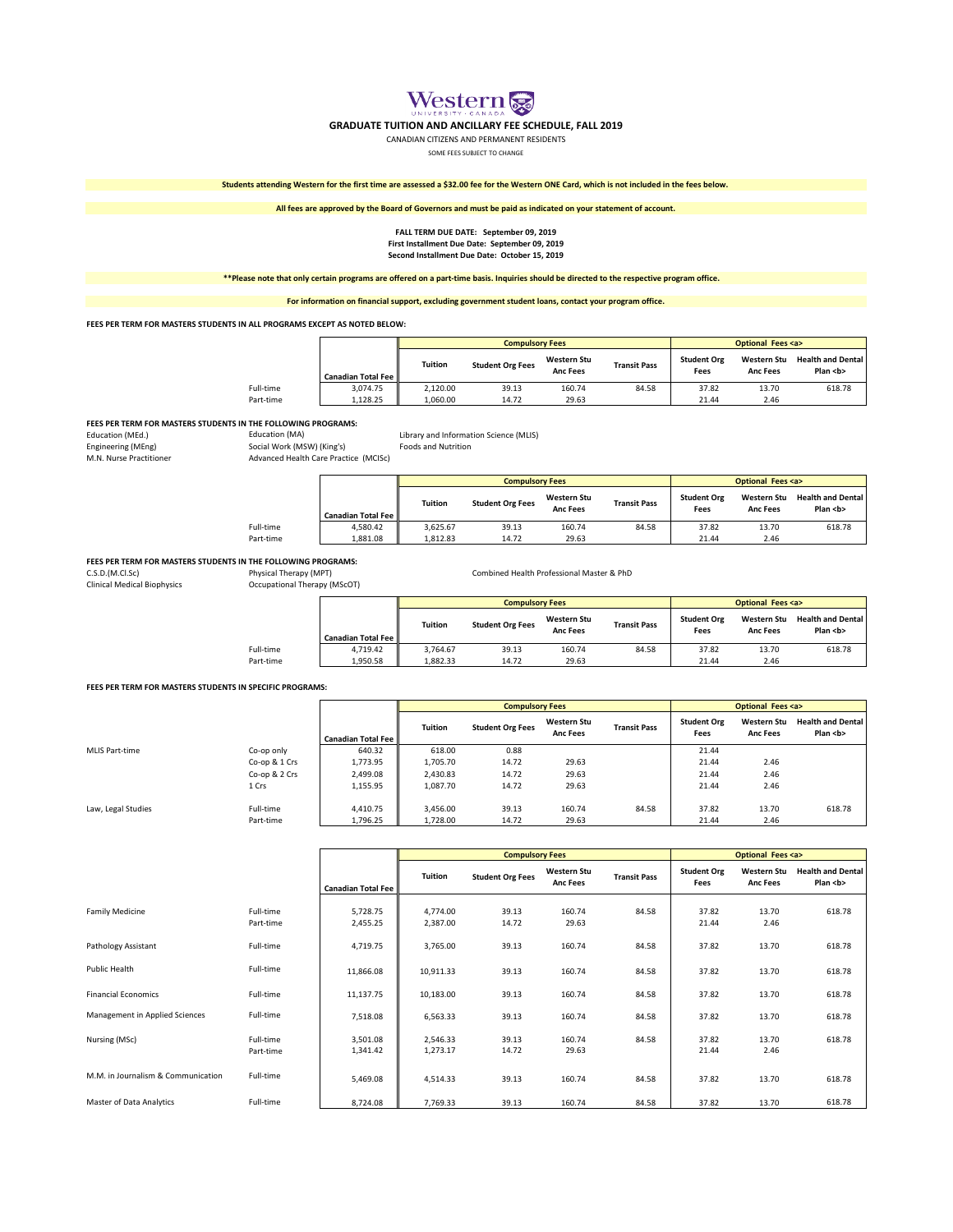Western

## **GRADUATE TUITION AND ANCILLARY FEE SCHEDULE, FALL 2019**

CANADIAN CITIZENS AND PERMANENT RESIDENTS

SOME FEES SUBJECT TO CHANGE

**Students attending Western for the first time are assessed a \$32.00 fee for the Western ONE Card, which is not included in the fees below.**

**All fees are approved by the Board of Governors and must be paid as indicated on your statement of account.**

#### **FALL TERM DUE DATE: September 09, 2019 First Installment Due Date: September 09, 2019 Second Installment Due Date: October 15, 2019**

**\*\*Please note that only certain programs are offered on a part-time basis. Inquiries should be directed to the respective program office.** 

**For information on financial support, excluding government student loans, contact your program office.**

**FEES PER TERM FOR MASTERS STUDENTS IN ALL PROGRAMS EXCEPT AS NOTED BELOW:**

|           |                              |                | <b>Compulsory Fees</b>  |                                       |                     |                            | <b>Optional Fees <a></a></b>   |                                          |
|-----------|------------------------------|----------------|-------------------------|---------------------------------------|---------------------|----------------------------|--------------------------------|------------------------------------------|
|           | <b>Canadian Total Fee II</b> | <b>Tuition</b> | <b>Student Org Fees</b> | <b>Western Stu</b><br><b>Anc Fees</b> | <b>Transit Pass</b> | <b>Student Org</b><br>Fees | Western Stu<br><b>Anc Fees</b> | <b>Health and Dental</b><br>Plan <b></b> |
| Full-time | 3,074.75                     | 2.120.00       | 39.13                   | 160.74                                | 84.58               | 37.82                      | 13.70                          | 618.78                                   |
| Part-time | 1.128.25                     | 1.060.00       | 14.72                   | 29.63                                 |                     | 21.44                      | 2.46                           |                                          |

# FEES PER TERM FOR MASTERS STUDENTS IN THE FOLLOWING PROGRAMS:<br>Education (MA) **Education**

Engineering (MEng) Social Work (MSW) (King's)<br>
M.N. Nurse Practitioner<br>
Advanced Health Care Pract Advanced Health Care Practice (MCISc)

Education (MEd.) Education (MA) Library and Information Science (MLIS)

|           |                              |          | <b>Compulsory Fees</b>  |                                                              |       |                                                              | <b>Optional Fees <a></a></b> |                                          |  |
|-----------|------------------------------|----------|-------------------------|--------------------------------------------------------------|-------|--------------------------------------------------------------|------------------------------|------------------------------------------|--|
|           | <b>Canadian Total Fee II</b> | Tuition  | <b>Student Org Fees</b> | <b>Western Stu</b><br><b>Transit Pass</b><br><b>Anc Fees</b> |       | <b>Student Org</b><br>Western Stu<br>Fees<br><b>Anc Fees</b> |                              | <b>Health and Dental</b><br>Plan <b></b> |  |
| Full-time | 4.580.42                     | 3.625.67 | 39.13                   | 160.74                                                       | 84.58 | 37.82                                                        | 13.70                        | 618.78                                   |  |
| Part-time | 1.881.08                     | 1.812.83 | 14.72                   | 29.63                                                        |       | 21.44                                                        | 2.46                         |                                          |  |

# **FEES PER TERM FOR MASTERS STUDENTS IN THE FOLLOWING PROGRAMS:**<br>C.S.D.(M.Cl.Sc) Physical Therapy (MPT)

Clinical Medical Biophysics **Occupational Theory** Occupational Therapy (MSCOT)

| Physical Therapy (MPT)<br>Occupational Therapy (MScOT) |          |                                                           |                                       |                                  |                                                    |                                       |                                         |
|--------------------------------------------------------|----------|-----------------------------------------------------------|---------------------------------------|----------------------------------|----------------------------------------------------|---------------------------------------|-----------------------------------------|
|                                                        |          |                                                           |                                       | <b>Optional Fees <a></a></b>     |                                                    |                                       |                                         |
|                                                        |          | <b>Student Org Fees</b>                                   | <b>Western Stu</b><br><b>Anc Fees</b> | <b>Transit Pass</b>              | <b>Student Org</b><br>Fees                         | <b>Western Stu</b><br><b>Anc Fees</b> | <b>Health and Denta</b><br>Plan <b></b> |
|                                                        |          |                                                           |                                       |                                  |                                                    |                                       | 618.78                                  |
|                                                        | 4.719.42 | <b>Tuition</b><br><b>Canadian Total Fee I</b><br>3.764.67 | 39.13                                 | <b>Compulsory Fees</b><br>160.74 | Combined Health Professional Master & PhD<br>84.58 | 37.82                                 | 13.70                                   |

Part-time | 1,950.58 | 1,882.33 14.72 29.63 | 21.44 2.46

#### **FEES PER TERM FOR MASTERS STUDENTS IN SPECIFIC PROGRAMS:**

|                    |               |                              |                | <b>Compulsory Fees</b>  |                                       |                     | <b>Optional Fees <a></a></b> |                                       |                                          |  |
|--------------------|---------------|------------------------------|----------------|-------------------------|---------------------------------------|---------------------|------------------------------|---------------------------------------|------------------------------------------|--|
|                    |               | <b>Canadian Total Fee II</b> | <b>Tuition</b> | <b>Student Org Fees</b> | <b>Western Stu</b><br><b>Anc Fees</b> | <b>Transit Pass</b> | <b>Student Org</b><br>Fees   | <b>Western Stu</b><br><b>Anc Fees</b> | <b>Health and Dental</b><br>Plan <b></b> |  |
| MLIS Part-time     | Co-op only    | 640.32                       | 618.00         | 0.88                    |                                       |                     | 21.44                        |                                       |                                          |  |
|                    | Co-op & 1 Crs | 1,773.95                     | 1,705.70       | 14.72                   | 29.63                                 |                     | 21.44                        | 2.46                                  |                                          |  |
|                    | Co-op & 2 Crs | 2,499.08                     | 2,430.83       | 14.72                   | 29.63                                 |                     | 21.44                        | 2.46                                  |                                          |  |
|                    | 1 Crs         | 1,155.95                     | 1,087.70       | 14.72                   | 29.63                                 |                     | 21.44                        | 2.46                                  |                                          |  |
| Law, Legal Studies | Full-time     | 4,410.75                     | 3.456.00       | 39.13                   | 160.74                                | 84.58               | 37.82                        | 13.70                                 | 618.78                                   |  |
|                    | Part-time     | 1,796.25                     | 1,728.00       | 14.72                   | 29.63                                 |                     | 21.44                        | 2.46                                  |                                          |  |

|                                    |                        |                           |                      | <b>Compulsory Fees</b>  |                                       |                     |                            | <b>Optional Fees <a></a></b>   |                                          |
|------------------------------------|------------------------|---------------------------|----------------------|-------------------------|---------------------------------------|---------------------|----------------------------|--------------------------------|------------------------------------------|
|                                    |                        | <b>Canadian Total Fee</b> | Tuition              | <b>Student Org Fees</b> | <b>Western Stu</b><br><b>Anc Fees</b> | <b>Transit Pass</b> | <b>Student Org</b><br>Fees | Western Stu<br><b>Anc Fees</b> | <b>Health and Dental</b><br>Plan <b></b> |
| <b>Family Medicine</b>             | Full-time<br>Part-time | 5,728.75<br>2,455.25      | 4,774.00<br>2,387.00 | 39.13<br>14.72          | 160.74<br>29.63                       | 84.58               | 37.82<br>21.44             | 13.70<br>2.46                  | 618.78                                   |
| Pathology Assistant                | Full-time              | 4,719.75                  | 3,765.00             | 39.13                   | 160.74                                | 84.58               | 37.82                      | 13.70                          | 618.78                                   |
| Public Health                      | Full-time              | 11,866.08                 | 10,911.33            | 39.13                   | 160.74                                | 84.58               | 37.82                      | 13.70                          | 618.78                                   |
| <b>Financial Economics</b>         | Full-time              | 11,137.75                 | 10,183.00            | 39.13                   | 160.74                                | 84.58               | 37.82                      | 13.70                          | 618.78                                   |
| Management in Applied Sciences     | Full-time              | 7,518.08                  | 6,563.33             | 39.13                   | 160.74                                | 84.58               | 37.82                      | 13.70                          | 618.78                                   |
| Nursing (MSc)                      | Full-time<br>Part-time | 3,501.08<br>1,341.42      | 2,546.33<br>1,273.17 | 39.13<br>14.72          | 160.74<br>29.63                       | 84.58               | 37.82<br>21.44             | 13.70<br>2.46                  | 618.78                                   |
| M.M. in Journalism & Communication | Full-time              | 5,469.08                  | 4,514.33             | 39.13                   | 160.74                                | 84.58               | 37.82                      | 13.70                          | 618.78                                   |
| Master of Data Analytics           | Full-time              | 8,724.08                  | 7,769.33             | 39.13                   | 160.74                                | 84.58               | 37.82                      | 13.70                          | 618.78                                   |